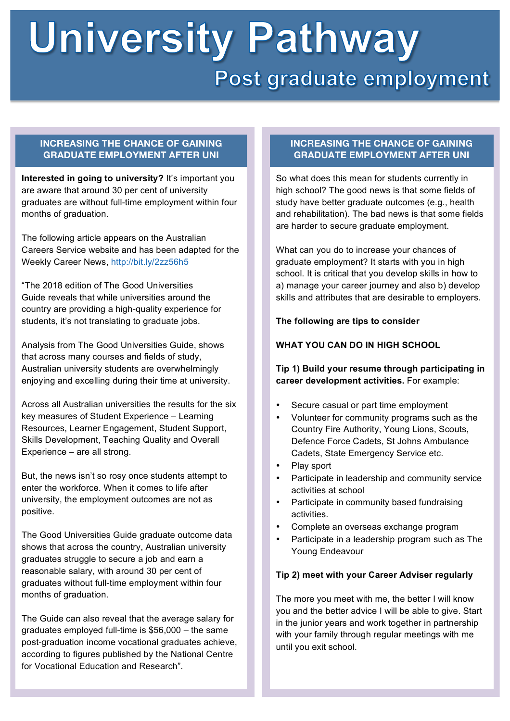# **University Pathway** Post graduate employment

# **INCREASING THE CHANCE OF GAINING GRADUATE EMPLOYMENT AFTER UNI**

**Interested in going to university?** It's important you are aware that around 30 per cent of university graduates are without full-time employment within four months of graduation.

The following article appears on the Australian Careers Service website and has been adapted for the Weekly Career News, http://bit.ly/2zz56h5

"The 2018 edition of The Good Universities Guide reveals that while universities around the country are providing a high-quality experience for students, it's not translating to graduate jobs.

Analysis from The Good Universities Guide, shows that across many courses and fields of study, Australian university students are overwhelmingly enjoying and excelling during their time at university.

Across all Australian universities the results for the six key measures of Student Experience – Learning Resources, Learner Engagement, Student Support, Skills Development, Teaching Quality and Overall Experience – are all strong.

But, the news isn't so rosy once students attempt to enter the workforce. When it comes to life after university, the employment outcomes are not as positive.

The Good Universities Guide graduate outcome data shows that across the country, Australian university graduates struggle to secure a job and earn a reasonable salary, with around 30 per cent of graduates without full-time employment within four months of graduation.

The Guide can also reveal that the average salary for graduates employed full-time is \$56,000 – the same post-graduation income vocational graduates achieve, according to figures published by the National Centre for Vocational Education and Research".

## **INCREASING THE CHANCE OF GAINING GRADUATE EMPLOYMENT AFTER UNI**

So what does this mean for students currently in high school? The good news is that some fields of study have better graduate outcomes (e.g., health and rehabilitation). The bad news is that some fields are harder to secure graduate employment.

What can you do to increase your chances of graduate employment? It starts with you in high school. It is critical that you develop skills in how to a) manage your career journey and also b) develop skills and attributes that are desirable to employers.

## **The following are tips to consider**

## **WHAT YOU CAN DO IN HIGH SCHOOL**

# **Tip 1) Build your resume through participating in career development activities.** For example:

- Secure casual or part time employment
- Volunteer for community programs such as the Country Fire Authority, Young Lions, Scouts, Defence Force Cadets, St Johns Ambulance Cadets, State Emergency Service etc.
- Play sport
- Participate in leadership and community service activities at school
- Participate in community based fundraising activities.
- Complete an overseas exchange program
- Participate in a leadership program such as The Young Endeavour

## **Tip 2) meet with your Career Adviser regularly**

The more you meet with me, the better I will know you and the better advice I will be able to give. Start in the junior years and work together in partnership with your family through regular meetings with me until you exit school.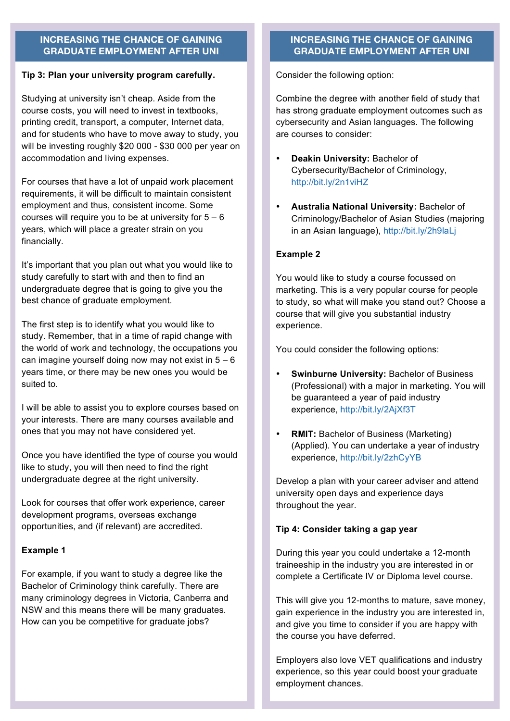## **INCREASING THE CHANCE OF GAINING GRADUATE EMPLOYMENT AFTER UNI**

#### **Tip 3: Plan your university program carefully.**

Studying at university isn't cheap. Aside from the course costs, you will need to invest in textbooks, printing credit, transport, a computer, Internet data, and for students who have to move away to study, you will be investing roughly \$20 000 - \$30 000 per year on accommodation and living expenses.

For courses that have a lot of unpaid work placement requirements, it will be difficult to maintain consistent employment and thus, consistent income. Some courses will require you to be at university for  $5 - 6$ years, which will place a greater strain on you financially.

It's important that you plan out what you would like to study carefully to start with and then to find an undergraduate degree that is going to give you the best chance of graduate employment.

The first step is to identify what you would like to study. Remember, that in a time of rapid change with the world of work and technology, the occupations you can imagine yourself doing now may not exist in  $5 - 6$ years time, or there may be new ones you would be suited to.

I will be able to assist you to explore courses based on your interests. There are many courses available and ones that you may not have considered yet.

Once you have identified the type of course you would like to study, you will then need to find the right undergraduate degree at the right university.

Look for courses that offer work experience, career development programs, overseas exchange opportunities, and (if relevant) are accredited.

## **Example 1**

For example, if you want to study a degree like the Bachelor of Criminology think carefully. There are many criminology degrees in Victoria, Canberra and NSW and this means there will be many graduates. How can you be competitive for graduate jobs?

## **INCREASING THE CHANCE OF GAINING GRADUATE EMPLOYMENT AFTER UNI**

Consider the following option:

Combine the degree with another field of study that has strong graduate employment outcomes such as cybersecurity and Asian languages. The following are courses to consider:

- **Deakin University:** Bachelor of Cybersecurity/Bachelor of Criminology, http://bit.ly/2n1viHZ
- **Australia National University:** Bachelor of Criminology/Bachelor of Asian Studies (majoring in an Asian language), http://bit.ly/2h9laLj

## **Example 2**

You would like to study a course focussed on marketing. This is a very popular course for people to study, so what will make you stand out? Choose a course that will give you substantial industry experience.

You could consider the following options:

- **Swinburne University:** Bachelor of Business (Professional) with a major in marketing. You will be guaranteed a year of paid industry experience, http://bit.ly/2AjXf3T
- **RMIT:** Bachelor of Business (Marketing) (Applied). You can undertake a year of industry experience, http://bit.ly/2zhCyYB

Develop a plan with your career adviser and attend university open days and experience days throughout the year.

#### **Tip 4: Consider taking a gap year**

During this year you could undertake a 12-month traineeship in the industry you are interested in or complete a Certificate IV or Diploma level course.

This will give you 12-months to mature, save money, gain experience in the industry you are interested in, and give you time to consider if you are happy with the course you have deferred.

Employers also love VET qualifications and industry experience, so this year could boost your graduate employment chances.